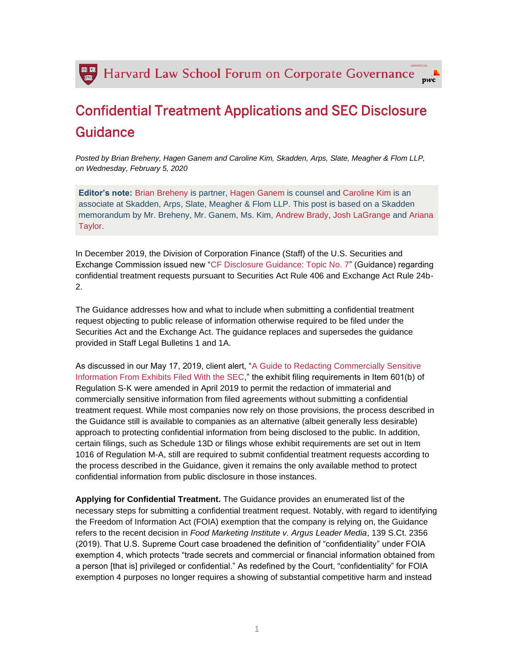

## Confidential Treatment Applications and SEC Disclosure Guidance

*Posted by Brian Breheny, Hagen Ganem and Caroline Kim, Skadden, Arps, Slate, Meagher & Flom LLP, on Wednesday, February 5, 2020*

**Editor's note:** [Brian Breheny](https://www.skadden.com/professionals/b/breheny-brian-v) is partner, [Hagen Ganem](https://www.skadden.com/professionals/g/ganem-hagen-j) is counsel and [Caroline Kim](https://www.skadden.com/professionals/k/kim-caroline-s) is an associate at Skadden, Arps, Slate, Meagher & Flom LLP. This post is based on a Skadden memorandum by Mr. Breheny, Mr. Ganem, Ms. Kim, [Andrew Brady,](https://www.skadden.com/professionals/b/brady-andrew-j) [Josh LaGrange](https://www.skadden.com/professionals/l/lagrange-josh) and [Ariana](https://www.skadden.com/professionals/t/taylor-ariana-m)  [Taylor.](https://www.skadden.com/professionals/t/taylor-ariana-m)

In December 2019, the Division of Corporation Finance (Staff) of the U.S. Securities and Exchange Commission issued new ["CF Disclosure Guidance: Topic No. 7"](https://marketing.skadden.com/rs/ct.aspx?ct=24F76B1FDFE241A9CCDD89ADD3289211DEFB55A3CAAD1) (Guidance) regarding confidential treatment requests pursuant to Securities Act Rule 406 and Exchange Act Rule 24b-2.

The Guidance addresses how and what to include when submitting a confidential treatment request objecting to public release of information otherwise required to be filed under the Securities Act and the Exchange Act. The guidance replaces and supersedes the guidance provided in Staff Legal Bulletins 1 and 1A.

As discussed in our May 17, 2019, client alert, ["A Guide to Redacting Commercially Sensitive](https://marketing.skadden.com/rs/ct.aspx?ct=24F76B1FDFE241A9CCDD89ADD3289211DEFB5593E4BE2FEC36D44D4153C64)  [Information From Exhibits Filed With the SEC,](https://marketing.skadden.com/rs/ct.aspx?ct=24F76B1FDFE241A9CCDD89ADD3289211DEFB5593E4BE2FEC36D44D4153C64)" the exhibit filing requirements in Item 601(b) of Regulation S-K were amended in April 2019 to permit the redaction of immaterial and commercially sensitive information from filed agreements without submitting a confidential treatment request. While most companies now rely on those provisions, the process described in the Guidance still is available to companies as an alternative (albeit generally less desirable) approach to protecting confidential information from being disclosed to the public. In addition, certain filings, such as Schedule 13D or filings whose exhibit requirements are set out in Item 1016 of Regulation M-A, still are required to submit confidential treatment requests according to the process described in the Guidance, given it remains the only available method to protect confidential information from public disclosure in those instances.

**Applying for Confidential Treatment.** The Guidance provides an enumerated list of the necessary steps for submitting a confidential treatment request. Notably, with regard to identifying the Freedom of Information Act (FOIA) exemption that the company is relying on, the Guidance refers to the recent decision in *Food Marketing Institute v. Argus Leader Media*, 139 S.Ct. 2356 (2019). That U.S. Supreme Court case broadened the definition of "confidentiality" under FOIA exemption 4, which protects "trade secrets and commercial or financial information obtained from a person [that is] privileged or confidential." As redefined by the Court, "confidentiality" for FOIA exemption 4 purposes no longer requires a showing of substantial competitive harm and instead